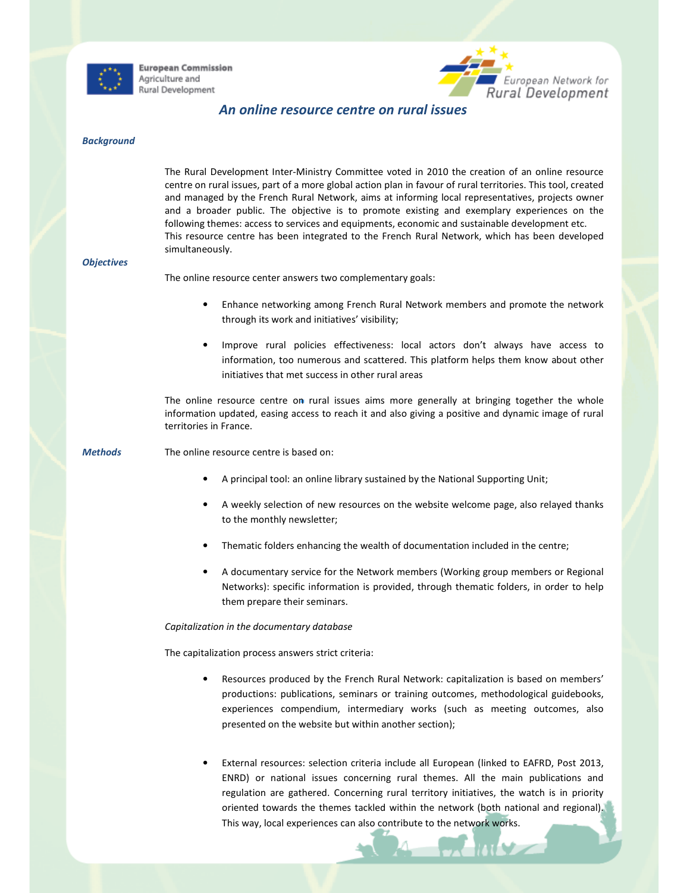

**European Commission** Agriculture and Rural Development



# An online resource centre on rural issues

## **Background**

The Rural Development Inter-Ministry Committee voted in 2010 the creation of an online resource centre on rural issues, part of a more global action plan in favour of rural territories. This tool, created and managed by the French Rural Network, aims at informing local representatives, projects owner and a broader public. The objective is to promote existing and exemplary experiences on the following themes: access to services and equipments, economic and sustainable development etc. This resource centre has been integrated to the French Rural Network, which has been developed simultaneously.

#### **Objectives**

The online resource center answers two complementary goals:

- Enhance networking among French Rural Network members and promote the network through its work and initiatives' visibility;
- Improve rural policies effectiveness: local actors don't always have access to information, too numerous and scattered. This platform helps them know about other initiatives that met success in other rural areas

The online resource centre on rural issues aims more generally at bringing together the whole information updated, easing access to reach it and also giving a positive and dynamic image of rural territories in France.

Methods The online resource centre is based on:

- A principal tool: an online library sustained by the National Supporting Unit;
- A weekly selection of new resources on the website welcome page, also relayed thanks to the monthly newsletter;
- Thematic folders enhancing the wealth of documentation included in the centre;
- A documentary service for the Network members (Working group members or Regional Networks): specific information is provided, through thematic folders, in order to help them prepare their seminars.

### Capitalization in the documentary database

The capitalization process answers strict criteria:

- Resources produced by the French Rural Network: capitalization is based on members' productions: publications, seminars or training outcomes, methodological guidebooks, experiences compendium, intermediary works (such as meeting outcomes, also presented on the website but within another section);
- External resources: selection criteria include all European (linked to EAFRD, Post 2013, ENRD) or national issues concerning rural themes. All the main publications and regulation are gathered. Concerning rural territory initiatives, the watch is in priority oriented towards the themes tackled within the network (both national and regional). This way, local experiences can also contribute to the network works.

 $\Delta$  and  $\Delta$